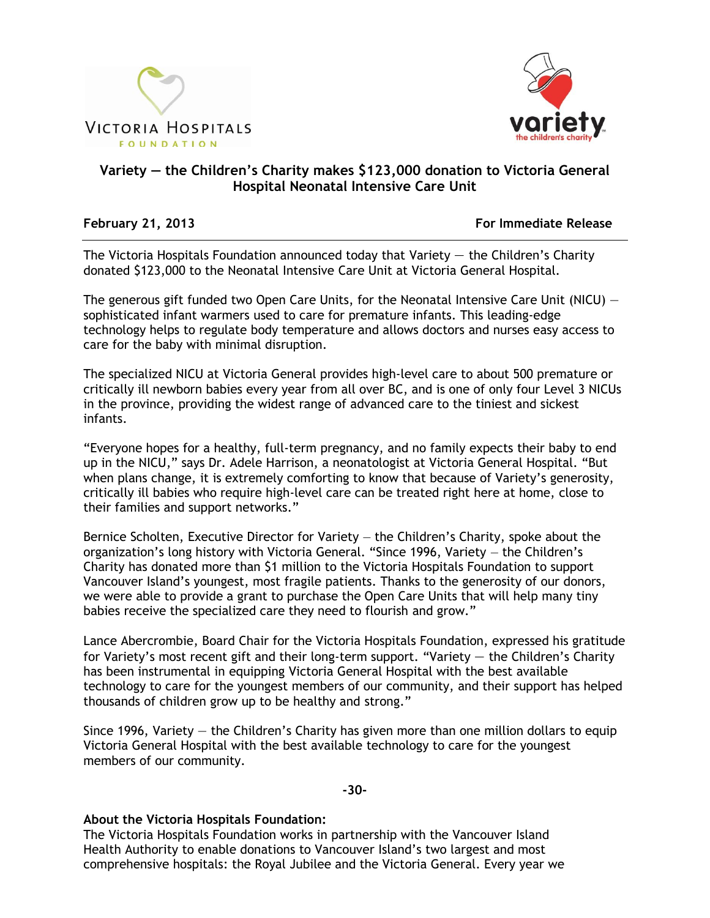



## **Variety — the Children's Charity makes \$123,000 donation to Victoria General Hospital Neonatal Intensive Care Unit**

**February 21, 2013 For Immediate Release**

The Victoria Hospitals Foundation announced today that Variety  $-$  the Children's Charity donated \$123,000 to the Neonatal Intensive Care Unit at Victoria General Hospital.

The generous gift funded two Open Care Units, for the Neonatal Intensive Care Unit (NICU) sophisticated infant warmers used to care for premature infants. This leading-edge technology helps to regulate body temperature and allows doctors and nurses easy access to care for the baby with minimal disruption.

The specialized NICU at Victoria General provides high-level care to about 500 premature or critically ill newborn babies every year from all over BC, and is one of only four Level 3 NICUs in the province, providing the widest range of advanced care to the tiniest and sickest infants.

―Everyone hopes for a healthy, full-term pregnancy, and no family expects their baby to end up in the NICU," says Dr. Adele Harrison, a neonatologist at Victoria General Hospital. "But when plans change, it is extremely comforting to know that because of Variety's generosity, critically ill babies who require high-level care can be treated right here at home, close to their families and support networks."

Bernice Scholten, Executive Director for Variety — the Children's Charity, spoke about the organization's long history with Victoria General. "Since 1996, Variety - the Children's Charity has donated more than \$1 million to the Victoria Hospitals Foundation to support Vancouver Island's youngest, most fragile patients. Thanks to the generosity of our donors, we were able to provide a grant to purchase the Open Care Units that will help many tiny babies receive the specialized care they need to flourish and grow."

Lance Abercrombie, Board Chair for the Victoria Hospitals Foundation, expressed his gratitude for Variety's most recent gift and their long-term support. "Variety  $-$  the Children's Charity has been instrumental in equipping Victoria General Hospital with the best available technology to care for the youngest members of our community, and their support has helped thousands of children grow up to be healthy and strong."

Since 1996, Variety — the Children's Charity has given more than one million dollars to equip Victoria General Hospital with the best available technology to care for the youngest members of our community.

## **-30-**

## **About the Victoria Hospitals Foundation:**

The Victoria Hospitals Foundation works in partnership with the Vancouver Island Health Authority to enable donations to Vancouver Island's two largest and most comprehensive hospitals: the Royal Jubilee and the Victoria General. Every year we